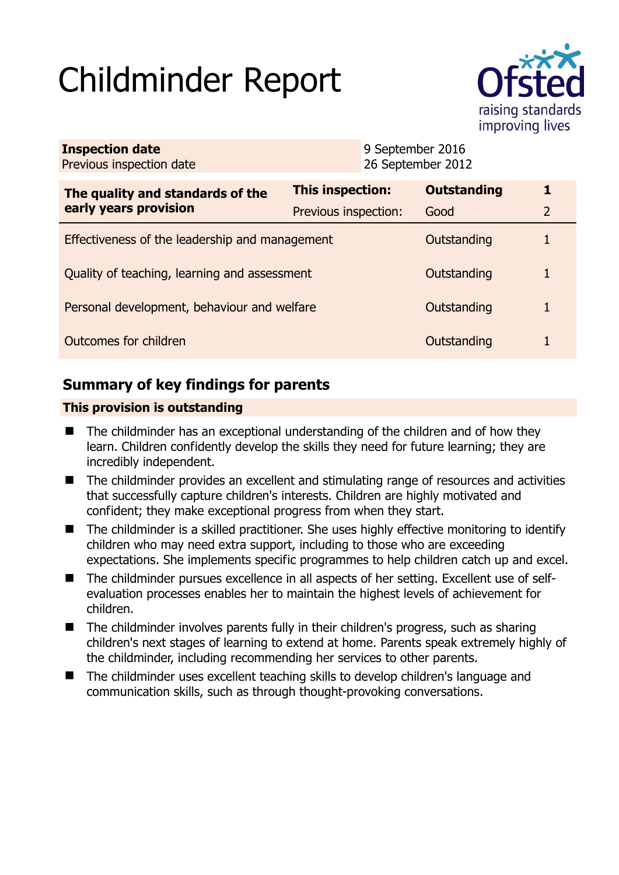# Childminder Report



| <b>Inspection date</b><br>Previous inspection date        |                      | 9 September 2016<br>26 September 2012 |                    |                |
|-----------------------------------------------------------|----------------------|---------------------------------------|--------------------|----------------|
| The quality and standards of the<br>early years provision | This inspection:     |                                       | <b>Outstanding</b> | 1              |
|                                                           | Previous inspection: |                                       | Good               | $\overline{2}$ |
| Effectiveness of the leadership and management            |                      |                                       | Outstanding        | 1              |
| Quality of teaching, learning and assessment              |                      |                                       | Outstanding        | 1              |
| Personal development, behaviour and welfare               |                      |                                       | Outstanding        | 1              |
| Outcomes for children                                     |                      |                                       | Outstanding        |                |

# **Summary of key findings for parents**

## **This provision is outstanding**

- $\blacksquare$  The childminder has an exceptional understanding of the children and of how they learn. Children confidently develop the skills they need for future learning; they are incredibly independent.
- The childminder provides an excellent and stimulating range of resources and activities that successfully capture children's interests. Children are highly motivated and confident; they make exceptional progress from when they start.
- The childminder is a skilled practitioner. She uses highly effective monitoring to identify children who may need extra support, including to those who are exceeding expectations. She implements specific programmes to help children catch up and excel.
- The childminder pursues excellence in all aspects of her setting. Excellent use of selfevaluation processes enables her to maintain the highest levels of achievement for children.
- The childminder involves parents fully in their children's progress, such as sharing children's next stages of learning to extend at home. Parents speak extremely highly of the childminder, including recommending her services to other parents.
- The childminder uses excellent teaching skills to develop children's language and communication skills, such as through thought-provoking conversations.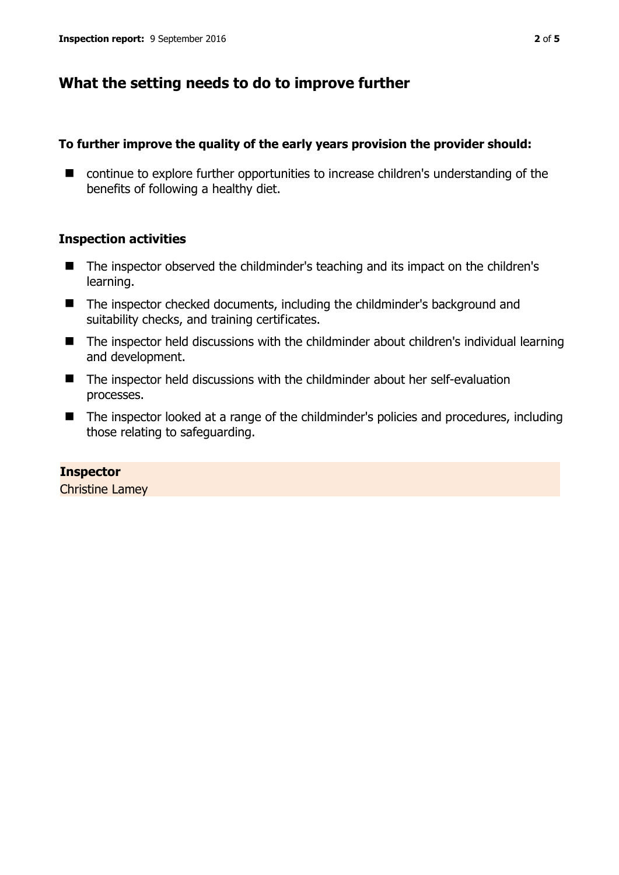## **What the setting needs to do to improve further**

## **To further improve the quality of the early years provision the provider should:**

■ continue to explore further opportunities to increase children's understanding of the benefits of following a healthy diet.

## **Inspection activities**

- The inspector observed the childminder's teaching and its impact on the children's learning.
- The inspector checked documents, including the childminder's background and suitability checks, and training certificates.
- The inspector held discussions with the childminder about children's individual learning and development.
- The inspector held discussions with the childminder about her self-evaluation processes.
- The inspector looked at a range of the childminder's policies and procedures, including those relating to safeguarding.

**Inspector**  Christine Lamey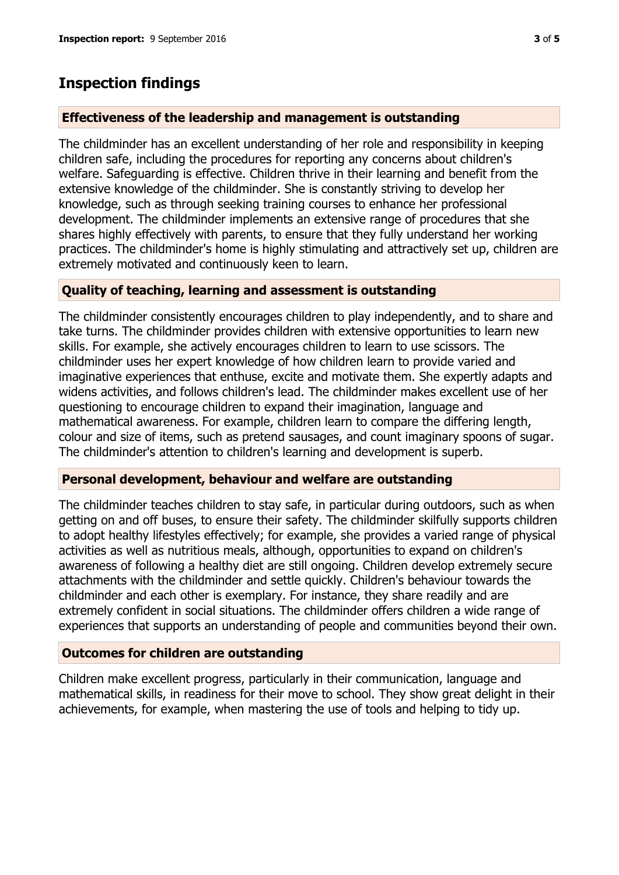## **Inspection findings**

#### **Effectiveness of the leadership and management is outstanding**

The childminder has an excellent understanding of her role and responsibility in keeping children safe, including the procedures for reporting any concerns about children's welfare. Safeguarding is effective. Children thrive in their learning and benefit from the extensive knowledge of the childminder. She is constantly striving to develop her knowledge, such as through seeking training courses to enhance her professional development. The childminder implements an extensive range of procedures that she shares highly effectively with parents, to ensure that they fully understand her working practices. The childminder's home is highly stimulating and attractively set up, children are extremely motivated and continuously keen to learn.

## **Quality of teaching, learning and assessment is outstanding**

The childminder consistently encourages children to play independently, and to share and take turns. The childminder provides children with extensive opportunities to learn new skills. For example, she actively encourages children to learn to use scissors. The childminder uses her expert knowledge of how children learn to provide varied and imaginative experiences that enthuse, excite and motivate them. She expertly adapts and widens activities, and follows children's lead. The childminder makes excellent use of her questioning to encourage children to expand their imagination, language and mathematical awareness. For example, children learn to compare the differing length, colour and size of items, such as pretend sausages, and count imaginary spoons of sugar. The childminder's attention to children's learning and development is superb.

#### **Personal development, behaviour and welfare are outstanding**

The childminder teaches children to stay safe, in particular during outdoors, such as when getting on and off buses, to ensure their safety. The childminder skilfully supports children to adopt healthy lifestyles effectively; for example, she provides a varied range of physical activities as well as nutritious meals, although, opportunities to expand on children's awareness of following a healthy diet are still ongoing. Children develop extremely secure attachments with the childminder and settle quickly. Children's behaviour towards the childminder and each other is exemplary. For instance, they share readily and are extremely confident in social situations. The childminder offers children a wide range of experiences that supports an understanding of people and communities beyond their own.

### **Outcomes for children are outstanding**

Children make excellent progress, particularly in their communication, language and mathematical skills, in readiness for their move to school. They show great delight in their achievements, for example, when mastering the use of tools and helping to tidy up.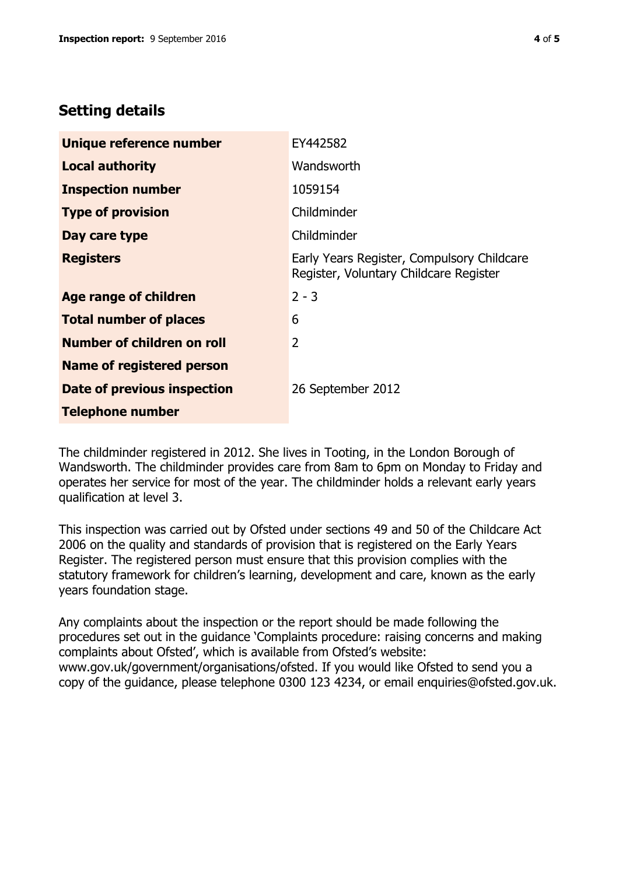# **Setting details**

| Unique reference number          | EY442582                                                                             |  |
|----------------------------------|--------------------------------------------------------------------------------------|--|
| <b>Local authority</b>           | Wandsworth                                                                           |  |
| <b>Inspection number</b>         | 1059154                                                                              |  |
| <b>Type of provision</b>         | Childminder                                                                          |  |
| Day care type                    | Childminder                                                                          |  |
| <b>Registers</b>                 | Early Years Register, Compulsory Childcare<br>Register, Voluntary Childcare Register |  |
| Age range of children            | $2 - 3$                                                                              |  |
| <b>Total number of places</b>    | 6                                                                                    |  |
| Number of children on roll       | $\overline{2}$                                                                       |  |
| <b>Name of registered person</b> |                                                                                      |  |
| Date of previous inspection      | 26 September 2012                                                                    |  |
| <b>Telephone number</b>          |                                                                                      |  |

The childminder registered in 2012. She lives in Tooting, in the London Borough of Wandsworth. The childminder provides care from 8am to 6pm on Monday to Friday and operates her service for most of the year. The childminder holds a relevant early years qualification at level 3.

This inspection was carried out by Ofsted under sections 49 and 50 of the Childcare Act 2006 on the quality and standards of provision that is registered on the Early Years Register. The registered person must ensure that this provision complies with the statutory framework for children's learning, development and care, known as the early years foundation stage.

Any complaints about the inspection or the report should be made following the procedures set out in the guidance 'Complaints procedure: raising concerns and making complaints about Ofsted', which is available from Ofsted's website: www.gov.uk/government/organisations/ofsted. If you would like Ofsted to send you a copy of the guidance, please telephone 0300 123 4234, or email enquiries@ofsted.gov.uk.